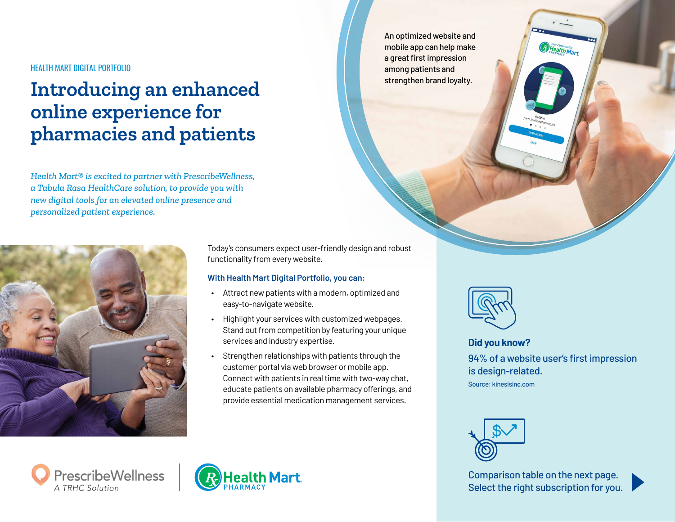## HEALTH MART DIGITAL PORTFOLIO

## **Introducing an enhanced online experience for pharmacies and patients**

*Health Mart® is excited to partner with PrescribeWellness, a Tabula Rasa HealthCare solution, to provide you with new digital tools for an elevated online presence and personalized patient experience.*



Today's consumers expect user-friendly design and robust functionality from every website.

## **With Health Mart Digital Portfolio, you can:**

- Attract new patients with a modern, optimized and easy-to-navigate website.
- Highlight your services with customized webpages. Stand out from competition by featuring your unique services and industry expertise.
- Strengthen relationships with patients through the customer portal via web browser or mobile app. Connect with patients in real time with two-way chat, educate patients on available pharmacy offerings, and provide essential medication management services.

An optimized website and mobile app can help make a great first impression among patients and strengthen brand loyalty.



94% of a website user's first impression is design-related. Source: kinesisinc.com **Did you know?**

*Phealth Mart* 



Comparison table on the next page. Select the right subscription for you.